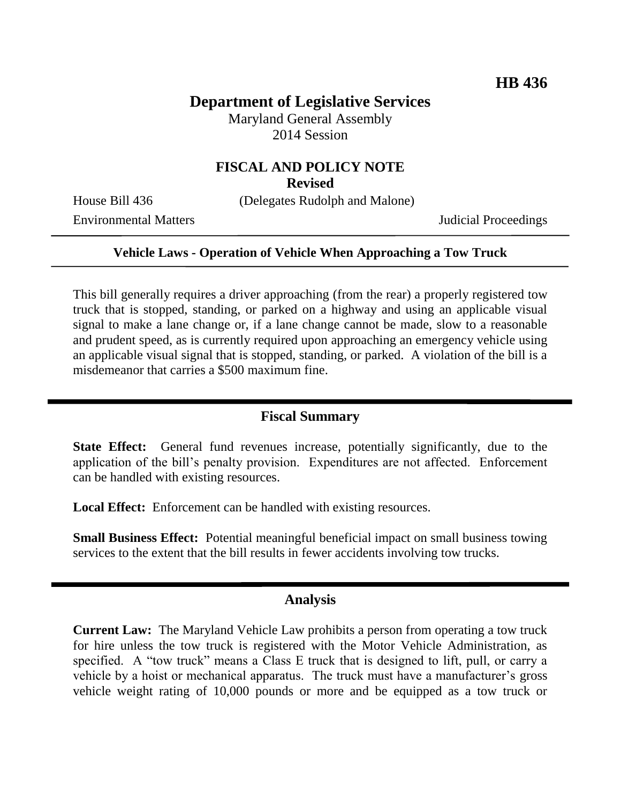# **Department of Legislative Services**

Maryland General Assembly 2014 Session

## **FISCAL AND POLICY NOTE**

**Revised**

House Bill 436 (Delegates Rudolph and Malone)

Environmental Matters Judicial Proceedings

#### **Vehicle Laws - Operation of Vehicle When Approaching a Tow Truck**

This bill generally requires a driver approaching (from the rear) a properly registered tow truck that is stopped, standing, or parked on a highway and using an applicable visual signal to make a lane change or, if a lane change cannot be made, slow to a reasonable and prudent speed, as is currently required upon approaching an emergency vehicle using an applicable visual signal that is stopped, standing, or parked. A violation of the bill is a misdemeanor that carries a \$500 maximum fine.

### **Fiscal Summary**

**State Effect:** General fund revenues increase, potentially significantly, due to the application of the bill's penalty provision. Expenditures are not affected. Enforcement can be handled with existing resources.

Local Effect: Enforcement can be handled with existing resources.

**Small Business Effect:** Potential meaningful beneficial impact on small business towing services to the extent that the bill results in fewer accidents involving tow trucks.

#### **Analysis**

**Current Law:** The Maryland Vehicle Law prohibits a person from operating a tow truck for hire unless the tow truck is registered with the Motor Vehicle Administration, as specified. A "tow truck" means a Class E truck that is designed to lift, pull, or carry a vehicle by a hoist or mechanical apparatus. The truck must have a manufacturer's gross vehicle weight rating of 10,000 pounds or more and be equipped as a tow truck or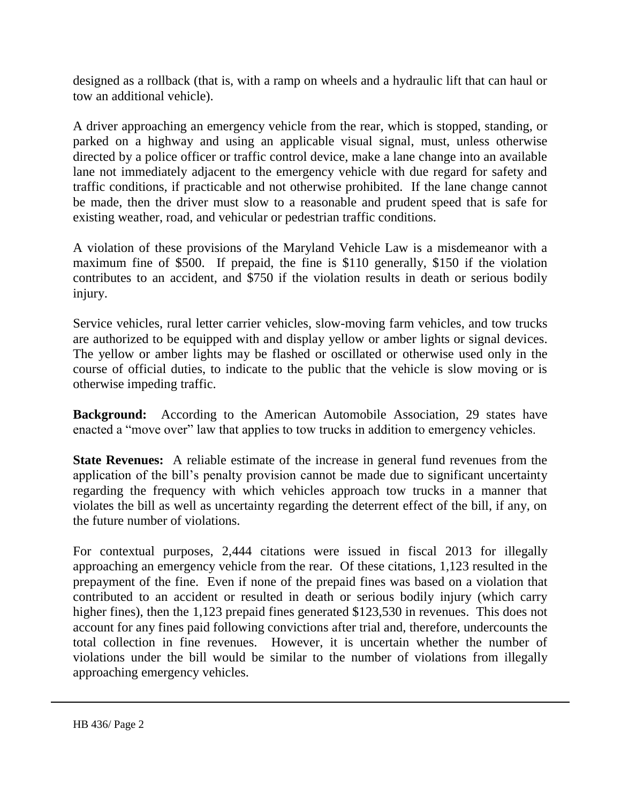designed as a rollback (that is, with a ramp on wheels and a hydraulic lift that can haul or tow an additional vehicle).

A driver approaching an emergency vehicle from the rear, which is stopped, standing, or parked on a highway and using an applicable visual signal, must, unless otherwise directed by a police officer or traffic control device, make a lane change into an available lane not immediately adjacent to the emergency vehicle with due regard for safety and traffic conditions, if practicable and not otherwise prohibited. If the lane change cannot be made, then the driver must slow to a reasonable and prudent speed that is safe for existing weather, road, and vehicular or pedestrian traffic conditions.

A violation of these provisions of the Maryland Vehicle Law is a misdemeanor with a maximum fine of \$500. If prepaid, the fine is \$110 generally, \$150 if the violation contributes to an accident, and \$750 if the violation results in death or serious bodily injury.

Service vehicles, rural letter carrier vehicles, slow-moving farm vehicles, and tow trucks are authorized to be equipped with and display yellow or amber lights or signal devices. The yellow or amber lights may be flashed or oscillated or otherwise used only in the course of official duties, to indicate to the public that the vehicle is slow moving or is otherwise impeding traffic.

**Background:** According to the American Automobile Association, 29 states have enacted a "move over" law that applies to tow trucks in addition to emergency vehicles.

**State Revenues:** A reliable estimate of the increase in general fund revenues from the application of the bill's penalty provision cannot be made due to significant uncertainty regarding the frequency with which vehicles approach tow trucks in a manner that violates the bill as well as uncertainty regarding the deterrent effect of the bill, if any, on the future number of violations.

For contextual purposes, 2,444 citations were issued in fiscal 2013 for illegally approaching an emergency vehicle from the rear. Of these citations, 1,123 resulted in the prepayment of the fine. Even if none of the prepaid fines was based on a violation that contributed to an accident or resulted in death or serious bodily injury (which carry higher fines), then the 1,123 prepaid fines generated \$123,530 in revenues. This does not account for any fines paid following convictions after trial and, therefore, undercounts the total collection in fine revenues. However, it is uncertain whether the number of violations under the bill would be similar to the number of violations from illegally approaching emergency vehicles.